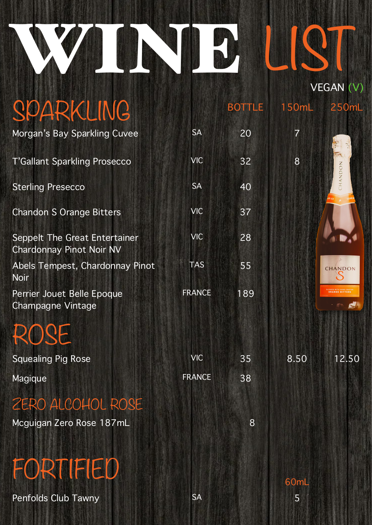## WINE LIST  $V<sub>CD</sub>$   $\wedge$   $\wedge$

|                                                           |               |               | VLJAIV (V)     |         |  |
|-----------------------------------------------------------|---------------|---------------|----------------|---------|--|
| SPARKLING                                                 |               | <b>BOTTLE</b> | 150mL          | 250mL   |  |
| Morgan's Bay Sparkling Cuvee                              | <b>SA</b>     | 20            | $\overline{7}$ |         |  |
| <b>T'Gallant Sparkling Prosecco</b>                       | <b>VIC</b>    | 32            | 8              | IHANDON |  |
| <b>Sterling Presecco</b>                                  | <b>SA</b>     | 40            |                |         |  |
| <b>Chandon S Orange Bitters</b>                           | <b>VIC</b>    | 37            |                |         |  |
| Seppelt The Great Entertainer<br>Chardonnay Pinot Noir NV | <b>VIC</b>    | 28            |                |         |  |
| Abels Tempest, Chardonnay Pinot<br><b>Noir</b>            | <b>TAS</b>    | 55            |                | CHANDON |  |
| Perrier Jouet Belle Epoque<br><b>Champagne Vintage</b>    | <b>FRANCE</b> | 189           |                | 纓       |  |
| ROSE                                                      |               |               |                |         |  |
| <b>Squealing Pig Rose</b>                                 | <b>VIC</b>    | 35            | 8.50           | 12.50   |  |
| Magique                                                   | <b>FRANCE</b> | 38            |                |         |  |
| ZERO ALCOHOL ROSE                                         |               |               |                |         |  |
| Mcguigan Zero Rose 187mL                                  |               | 8             |                |         |  |
| FORTIFIED                                                 |               |               | 60mL           |         |  |
|                                                           |               |               |                |         |  |

Penfolds Club Tawny SA 5